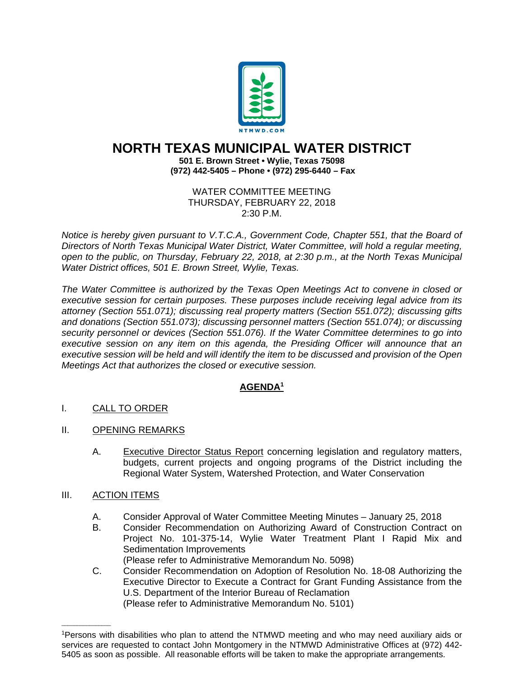

## **NORTH TEXAS MUNICIPAL WATER DISTRICT**

**501 E. Brown Street • Wylie, Texas 75098 (972) 442-5405 – Phone • (972) 295-6440 – Fax**

> WATER COMMITTEE MEETING THURSDAY, FEBRUARY 22, 2018 2:30 P.M.

*Notice is hereby given pursuant to V.T.C.A., Government Code, Chapter 551, that the Board of Directors of North Texas Municipal Water District, Water Committee, will hold a regular meeting, open to the public, on Thursday, February 22, 2018, at 2:30 p.m., at the North Texas Municipal Water District offices, 501 E. Brown Street, Wylie, Texas.* 

*The Water Committee is authorized by the Texas Open Meetings Act to convene in closed or executive session for certain purposes. These purposes include receiving legal advice from its attorney (Section 551.071); discussing real property matters (Section 551.072); discussing gifts and donations (Section 551.073); discussing personnel matters (Section 551.074); or discussing security personnel or devices (Section 551.076). If the Water Committee determines to go into executive session on any item on this agenda, the Presiding Officer will announce that an executive session will be held and will identify the item to be discussed and provision of the Open Meetings Act that authorizes the closed or executive session.* 

## **AGENDA1**

- I. CALL TO ORDER
- II. OPENING REMARKS
	- A. Executive Director Status Report concerning legislation and regulatory matters, budgets, current projects and ongoing programs of the District including the Regional Water System, Watershed Protection, and Water Conservation

## III. ACTION ITEMS

 $\overline{\phantom{a}}$  , and the set of the set of the set of the set of the set of the set of the set of the set of the set of the set of the set of the set of the set of the set of the set of the set of the set of the set of the s

- A. Consider Approval of Water Committee Meeting Minutes January 25, 2018
- B. Consider Recommendation on Authorizing Award of Construction Contract on Project No. 101-375-14, Wylie Water Treatment Plant I Rapid Mix and Sedimentation Improvements (Please refer to Administrative Memorandum No. 5098)
- C. Consider Recommendation on Adoption of Resolution No. 18-08 Authorizing the Executive Director to Execute a Contract for Grant Funding Assistance from the U.S. Department of the Interior Bureau of Reclamation (Please refer to Administrative Memorandum No. 5101)

<sup>1</sup>Persons with disabilities who plan to attend the NTMWD meeting and who may need auxiliary aids or services are requested to contact John Montgomery in the NTMWD Administrative Offices at (972) 442- 5405 as soon as possible. All reasonable efforts will be taken to make the appropriate arrangements.